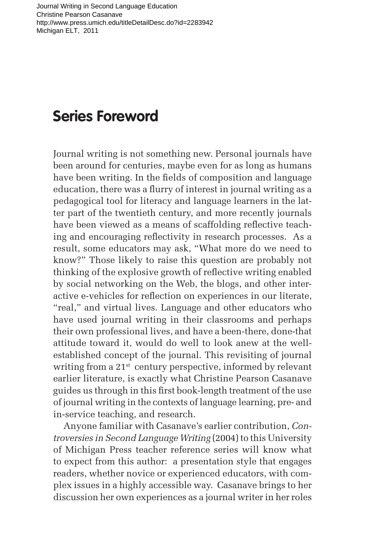## **Series Foreword**

Journal writing is not something new. Personal journals have been around for centuries, maybe even for as long as humans have been writing. In the fields of composition and language education, there was a flurry of interest in journal writing as a pedagogical tool for literacy and language learners in the latter part of the twentieth century, and more recently journals have been viewed as a means of scaffolding reflective teaching and encouraging reflectivity in research processes. As a result, some educators may ask, "What more do we need to know?" Those likely to raise this question are probably not thinking of the explosive growth of reflective writing enabled by social networking on the Web, the blogs, and other interactive e-vehicles for reflection on experiences in our literate, "real," and virtual lives. Language and other educators who have used journal writing in their classrooms and perhaps their own professional lives, and have a been-there, done-that attitude toward it, would do well to look anew at the wellestablished concept of the journal. This revisiting of journal writing from a 21<sup>st</sup> century perspective, informed by relevant earlier literature, is exactly what Christine Pearson Casanave guides us through in this first book-length treatment of the use of journal writing in the contexts of language learning, pre- and in-service teaching, and research.

Anyone familiar with Casanave's earlier contribution, *Controversies in Second Language Writing* (2004) to this University of Michigan Press teacher reference series will know what to expect from this author: a presentation style that engages readers, whether novice or experienced educators, with complex issues in a highly accessible way. Casanave brings to her discussion her own experiences as a journal writer in her roles